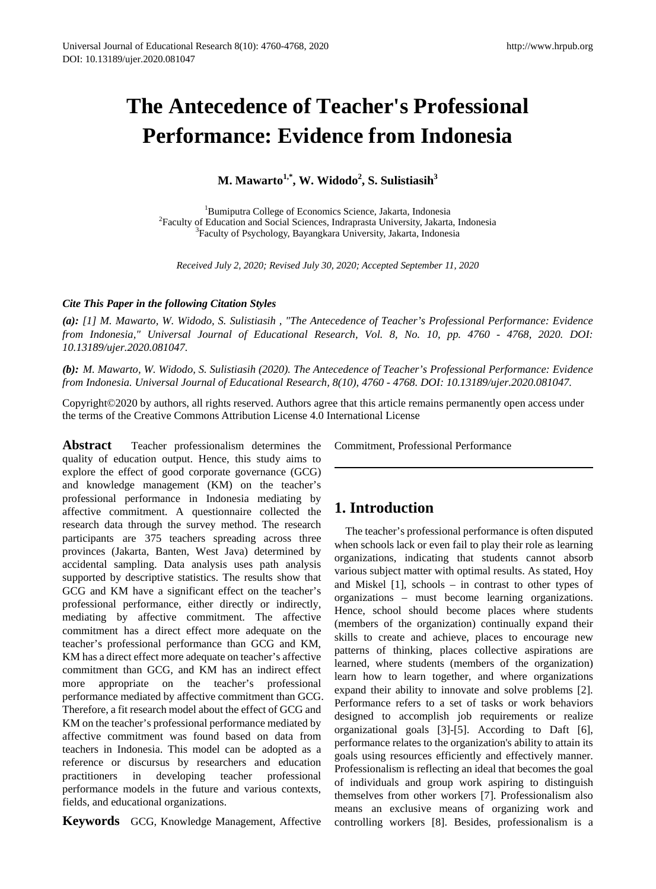# **The Antecedence of Teacher's Professional Performance: Evidence from Indonesia**

**M. Mawarto1,\*, W. Widodo2 , S. Sulistiasih<sup>3</sup>**

<sup>1</sup>Bumiputra College of Economics Science, Jakarta, Indonesia<br><sup>2</sup>Beculty of Education and Social Sciences, Indranrasta University, Jakarta <sup>2</sup> Faculty of Education and Social Sciences, Indraprasta University, Jakarta, Indonesia <sup>3</sup>Faculty of Psychology, Bayangkara University, Jakarta, Indonesia

*Received July 2, 2020; Revised July 30, 2020; Accepted September 11, 2020*

## *Cite This Paper in the following Citation Styles*

*(a): [1] M. Mawarto, W. Widodo, S. Sulistiasih , "The Antecedence of Teacher's Professional Performance: Evidence from Indonesia," Universal Journal of Educational Research, Vol. 8, No. 10, pp. 4760 - 4768, 2020. DOI: 10.13189/ujer.2020.081047.* 

*(b): M. Mawarto, W. Widodo, S. Sulistiasih (2020). The Antecedence of Teacher's Professional Performance: Evidence from Indonesia. Universal Journal of Educational Research, 8(10), 4760 - 4768. DOI: 10.13189/ujer.2020.081047.* 

Copyright©2020 by authors, all rights reserved. Authors agree that this article remains permanently open access under the terms of the Creative Commons Attribution License 4.0 International License

**Abstract** Teacher professionalism determines the quality of education output. Hence, this study aims to explore the effect of good corporate governance (GCG) and knowledge management (KM) on the teacher's professional performance in Indonesia mediating by affective commitment. A questionnaire collected the research data through the survey method. The research participants are 375 teachers spreading across three provinces (Jakarta, Banten, West Java) determined by accidental sampling. Data analysis uses path analysis supported by descriptive statistics. The results show that GCG and KM have a significant effect on the teacher's professional performance, either directly or indirectly, mediating by affective commitment. The affective commitment has a direct effect more adequate on the teacher's professional performance than GCG and KM, KM has a direct effect more adequate on teacher's affective commitment than GCG, and KM has an indirect effect more appropriate on the teacher's professional performance mediated by affective commitment than GCG. Therefore, a fit research model about the effect of GCG and KM on the teacher's professional performance mediated by affective commitment was found based on data from teachers in Indonesia. This model can be adopted as a reference or discursus by researchers and education practitioners in developing teacher professional performance models in the future and various contexts, fields, and educational organizations.

**Keywords** GCG, Knowledge Management, Affective

Commitment, Professional Performance

# **1. Introduction**

The teacher's professional performance is often disputed when schools lack or even fail to play their role as learning organizations, indicating that students cannot absorb various subject matter with optimal results. As stated, Hoy and Miskel [1], schools – in contrast to other types of organizations – must become learning organizations. Hence, school should become places where students (members of the organization) continually expand their skills to create and achieve, places to encourage new patterns of thinking, places collective aspirations are learned, where students (members of the organization) learn how to learn together, and where organizations expand their ability to innovate and solve problems [2]. Performance refers to a set of tasks or work behaviors designed to accomplish job requirements or realize organizational goals [3]-[5]. According to Daft [6], performance relates to the organization's ability to attain its goals using resources efficiently and effectively manner. Professionalism is reflecting an ideal that becomes the goal of individuals and group work aspiring to distinguish themselves from other workers [7]. Professionalism also means an exclusive means of organizing work and controlling workers [8]. Besides, professionalism is a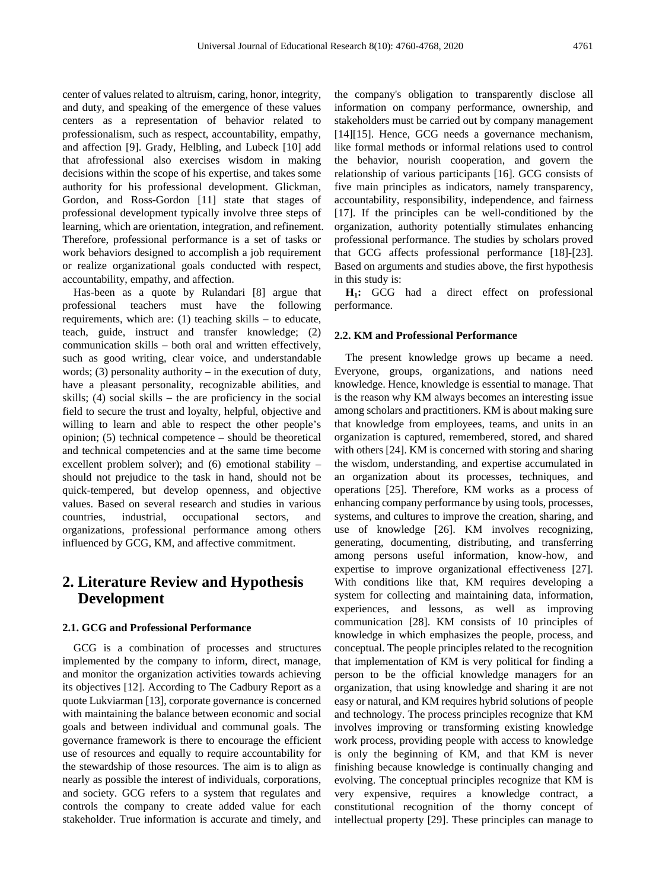center of values related to altruism, caring, honor, integrity, and duty, and speaking of the emergence of these values centers as a representation of behavior related to professionalism, such as respect, accountability, empathy, and affection [9]. Grady, Helbling, and Lubeck [10] add that afrofessional also exercises wisdom in making decisions within the scope of his expertise, and takes some authority for his professional development. Glickman, Gordon, and Ross-Gordon [11] state that stages of professional development typically involve three steps of learning, which are orientation, integration, and refinement. Therefore, professional performance is a set of tasks or work behaviors designed to accomplish a job requirement or realize organizational goals conducted with respect, accountability, empathy, and affection.

Has-been as a quote by Rulandari [8] argue that professional teachers must have the following requirements, which are: (1) teaching skills – to educate, teach, guide, instruct and transfer knowledge; (2) communication skills – both oral and written effectively, such as good writing, clear voice, and understandable words;  $(3)$  personality authority – in the execution of duty, have a pleasant personality, recognizable abilities, and skills; (4) social skills – the are proficiency in the social field to secure the trust and loyalty, helpful, objective and willing to learn and able to respect the other people's opinion; (5) technical competence – should be theoretical and technical competencies and at the same time become excellent problem solver); and (6) emotional stability – should not prejudice to the task in hand, should not be quick-tempered, but develop openness, and objective values. Based on several research and studies in various countries, industrial, occupational sectors, and organizations, professional performance among others influenced by GCG, KM, and affective commitment.

# **2. Literature Review and Hypothesis Development**

## **2.1. GCG and Professional Performance**

GCG is a combination of processes and structures implemented by the company to inform, direct, manage, and monitor the organization activities towards achieving its objectives [12]. According to The Cadbury Report as a quote Lukviarman [13], corporate governance is concerned with maintaining the balance between economic and social goals and between individual and communal goals. The governance framework is there to encourage the efficient use of resources and equally to require accountability for the stewardship of those resources. The aim is to align as nearly as possible the interest of individuals, corporations, and society. GCG refers to a system that regulates and controls the company to create added value for each stakeholder. True information is accurate and timely, and

the company's obligation to transparently disclose all information on company performance, ownership, and stakeholders must be carried out by company management [14][15]. Hence, GCG needs a governance mechanism, like formal methods or informal relations used to control the behavior, nourish cooperation, and govern the relationship of various participants [16]. GCG consists of five main principles as indicators, namely transparency, accountability, responsibility, independence, and fairness [17]. If the principles can be well-conditioned by the organization, authority potentially stimulates enhancing professional performance. The studies by scholars proved that GCG affects professional performance [18]-[23]. Based on arguments and studies above, the first hypothesis in this study is:

**H1:** GCG had a direct effect on professional performance.

#### **2.2. KM and Professional Performance**

The present knowledge grows up became a need. Everyone, groups, organizations, and nations need knowledge. Hence, knowledge is essential to manage. That is the reason why KM always becomes an interesting issue among scholars and practitioners. KM is about making sure that knowledge from employees, teams, and units in an organization is captured, remembered, stored, and shared with others [24]. KM is concerned with storing and sharing the wisdom, understanding, and expertise accumulated in an organization about its processes, techniques, and operations [25]. Therefore, KM works as a process of enhancing company performance by using tools, processes, systems, and cultures to improve the creation, sharing, and use of knowledge [26]. KM involves recognizing, generating, documenting, distributing, and transferring among persons useful information, know-how, and expertise to improve organizational effectiveness [27]. With conditions like that, KM requires developing a system for collecting and maintaining data, information, experiences, and lessons, as well as improving communication [28]. KM consists of 10 principles of knowledge in which emphasizes the people, process, and conceptual. The people principles related to the recognition that implementation of KM is very political for finding a person to be the official knowledge managers for an organization, that using knowledge and sharing it are not easy or natural, and KM requires hybrid solutions of people and technology. The process principles recognize that KM involves improving or transforming existing knowledge work process, providing people with access to knowledge is only the beginning of KM, and that KM is never finishing because knowledge is continually changing and evolving. The conceptual principles recognize that KM is very expensive, requires a knowledge contract, a constitutional recognition of the thorny concept of intellectual property [29]. These principles can manage to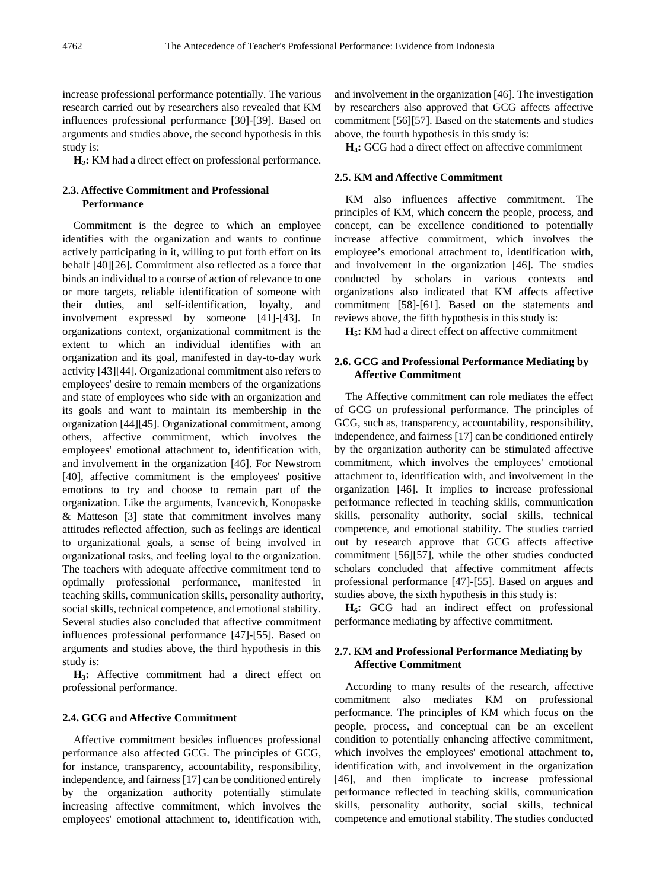increase professional performance potentially. The various research carried out by researchers also revealed that KM influences professional performance [30]-[39]. Based on arguments and studies above, the second hypothesis in this study is:

**H2:** KM had a direct effect on professional performance.

## **2.3. Affective Commitment and Professional Performance**

Commitment is the degree to which an employee identifies with the organization and wants to continue actively participating in it, willing to put forth effort on its behalf [40][26]. Commitment also reflected as a force that binds an individual to a course of action of relevance to one or more targets, reliable identification of someone with their duties, and self-identification, loyalty, and involvement expressed by someone [41]-[43]. In organizations context, organizational commitment is the extent to which an individual identifies with an organization and its goal, manifested in day-to-day work activity [43][44]. Organizational commitment also refers to employees' desire to remain members of the organizations and state of employees who side with an organization and its goals and want to maintain its membership in the organization [44][45]. Organizational commitment, among others, affective commitment, which involves the employees' emotional attachment to, identification with, and involvement in the organization [46]. For Newstrom [40], affective commitment is the employees' positive emotions to try and choose to remain part of the organization. Like the arguments, Ivancevich, Konopaske & Matteson [3] state that commitment involves many attitudes reflected affection, such as feelings are identical to organizational goals, a sense of being involved in organizational tasks, and feeling loyal to the organization. The teachers with adequate affective commitment tend to optimally professional performance, manifested in teaching skills, communication skills, personality authority, social skills, technical competence, and emotional stability. Several studies also concluded that affective commitment influences professional performance [47]-[55]. Based on arguments and studies above, the third hypothesis in this study is:

**H3:** Affective commitment had a direct effect on professional performance.

#### **2.4. GCG and Affective Commitment**

Affective commitment besides influences professional performance also affected GCG. The principles of GCG, for instance, transparency, accountability, responsibility, independence, and fairness [17] can be conditioned entirely by the organization authority potentially stimulate increasing affective commitment, which involves the employees' emotional attachment to, identification with,

and involvement in the organization [46]. The investigation by researchers also approved that GCG affects affective commitment [56][57]. Based on the statements and studies above, the fourth hypothesis in this study is:

**H4:** GCG had a direct effect on affective commitment

## **2.5. KM and Affective Commitment**

KM also influences affective commitment. The principles of KM, which concern the people, process, and concept, can be excellence conditioned to potentially increase affective commitment, which involves the employee's emotional attachment to, identification with, and involvement in the organization [46]. The studies conducted by scholars in various contexts and organizations also indicated that KM affects affective commitment [58]-[61]. Based on the statements and reviews above, the fifth hypothesis in this study is:

**H5:** KM had a direct effect on affective commitment

## **2.6. GCG and Professional Performance Mediating by Affective Commitment**

The Affective commitment can role mediates the effect of GCG on professional performance. The principles of GCG, such as, transparency, accountability, responsibility, independence, and fairness [17] can be conditioned entirely by the organization authority can be stimulated affective commitment, which involves the employees' emotional attachment to, identification with, and involvement in the organization [46]. It implies to increase professional performance reflected in teaching skills, communication skills, personality authority, social skills, technical competence, and emotional stability. The studies carried out by research approve that GCG affects affective commitment [56][57], while the other studies conducted scholars concluded that affective commitment affects professional performance [47]-[55]. Based on argues and studies above, the sixth hypothesis in this study is:

**H6:** GCG had an indirect effect on professional performance mediating by affective commitment.

## **2.7. KM and Professional Performance Mediating by Affective Commitment**

According to many results of the research, affective commitment also mediates KM on professional performance. The principles of KM which focus on the people, process, and conceptual can be an excellent condition to potentially enhancing affective commitment, which involves the employees' emotional attachment to, identification with, and involvement in the organization [46], and then implicate to increase professional performance reflected in teaching skills, communication skills, personality authority, social skills, technical competence and emotional stability. The studies conducted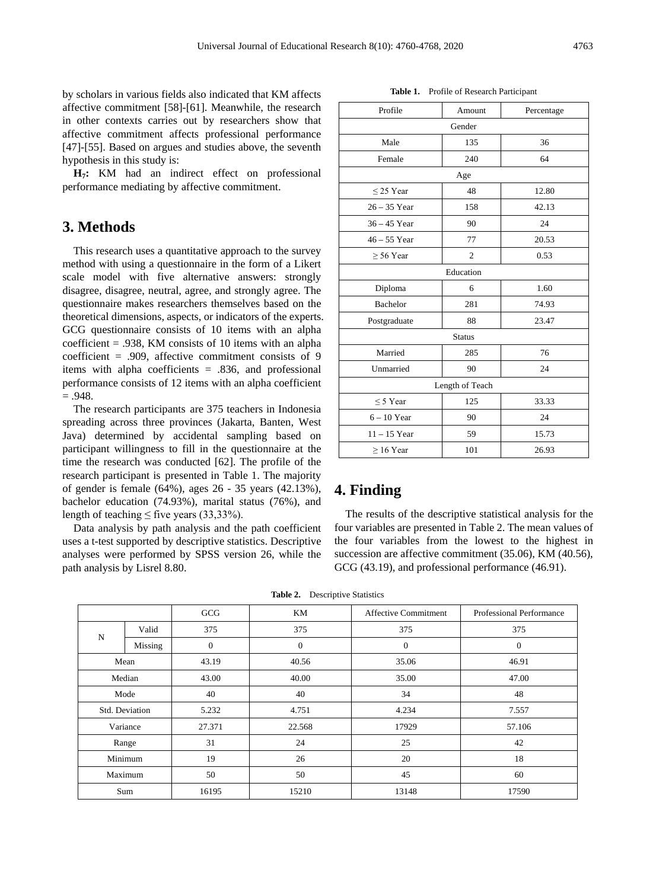by scholars in various fields also indicated that KM affects affective commitment [58]-[61]. Meanwhile, the research in other contexts carries out by researchers show that affective commitment affects professional performance [47]-[55]. Based on argues and studies above, the seventh hypothesis in this study is:

**H7:** KM had an indirect effect on professional performance mediating by affective commitment.

# **3. Methods**

This research uses a quantitative approach to the survey method with using a questionnaire in the form of a Likert scale model with five alternative answers: strongly disagree, disagree, neutral, agree, and strongly agree. The questionnaire makes researchers themselves based on the theoretical dimensions, aspects, or indicators of the experts. GCG questionnaire consists of 10 items with an alpha coefficient  $= .938$ , KM consists of 10 items with an alpha coefficient = .909, affective commitment consists of 9 items with alpha coefficients = .836, and professional performance consists of 12 items with an alpha coefficient  $=.948.$ 

The research participants are 375 teachers in Indonesia spreading across three provinces (Jakarta, Banten, West Java) determined by accidental sampling based on participant willingness to fill in the questionnaire at the time the research was conducted [62]. The profile of the research participant is presented in Table 1. The majority of gender is female (64%), ages 26 - 35 years (42.13%), bachelor education (74.93%), marital status (76%), and length of teaching  $\leq$  five years (33,33%).

Data analysis by path analysis and the path coefficient uses a t-test supported by descriptive statistics. Descriptive analyses were performed by SPSS version 26, while the path analysis by Lisrel 8.80.

| Profile         | Amount         | Percentage |  |  |  |  |
|-----------------|----------------|------------|--|--|--|--|
| Gender          |                |            |  |  |  |  |
| Male            | 135            | 36         |  |  |  |  |
| Female          | 240            | 64         |  |  |  |  |
| Age             |                |            |  |  |  |  |
| $\leq$ 25 Year  | 48             | 12.80      |  |  |  |  |
| $26 - 35$ Year  | 158            | 42.13      |  |  |  |  |
| $36 - 45$ Year  | 90             | 24         |  |  |  |  |
| $46 - 55$ Year  | 77             | 20.53      |  |  |  |  |
| $\geq 56$ Year  | $\overline{c}$ | 0.53       |  |  |  |  |
| Education       |                |            |  |  |  |  |
| Diploma         | 6              | 1.60       |  |  |  |  |
| Bachelor        | 281            | 74.93      |  |  |  |  |
| Postgraduate    | 88             | 23.47      |  |  |  |  |
| <b>Status</b>   |                |            |  |  |  |  |
| Married         | 285            | 76         |  |  |  |  |
| Unmarried       | 90             | 24         |  |  |  |  |
| Length of Teach |                |            |  |  |  |  |
| $\leq$ 5 Year   | 125            | 33.33      |  |  |  |  |
| $6 - 10$ Year   | 90             | 24         |  |  |  |  |
| $11 - 15$ Year  | 59             | 15.73      |  |  |  |  |
| $\geq 16$ Year  | 101            | 26.93      |  |  |  |  |

#### **Table 1.** Profile of Research Participant

# **4. Finding**

The results of the descriptive statistical analysis for the four variables are presented in Table 2. The mean values of the four variables from the lowest to the highest in succession are affective commitment (35.06), KM (40.56), GCG (43.19), and professional performance (46.91).

|                |         | GCG      | KM       | <b>Affective Commitment</b> | Professional Performance |  |
|----------------|---------|----------|----------|-----------------------------|--------------------------|--|
| N              | Valid   | 375      | 375      | 375                         | 375                      |  |
|                | Missing | $\theta$ | $\Omega$ | $\mathbf{0}$                | $\boldsymbol{0}$         |  |
| Mean           |         | 43.19    | 40.56    | 35.06                       | 46.91                    |  |
| Median         |         | 43.00    | 40.00    | 35.00                       | 47.00                    |  |
| Mode           |         | 40       | 40       | 34                          | 48                       |  |
| Std. Deviation |         | 5.232    | 4.751    | 4.234                       | 7.557                    |  |
| Variance       |         | 27.371   | 22.568   | 17929                       | 57.106                   |  |
| Range          |         | 31       | 24       | 25                          | 42                       |  |
| Minimum        |         | 19       | 26       | 20                          | 18                       |  |
| Maximum        |         | 50       | 50       | 45                          | 60                       |  |
| Sum            |         | 16195    | 15210    | 13148                       | 17590                    |  |
|                |         |          |          |                             |                          |  |

**Table 2.** Descriptive Statistics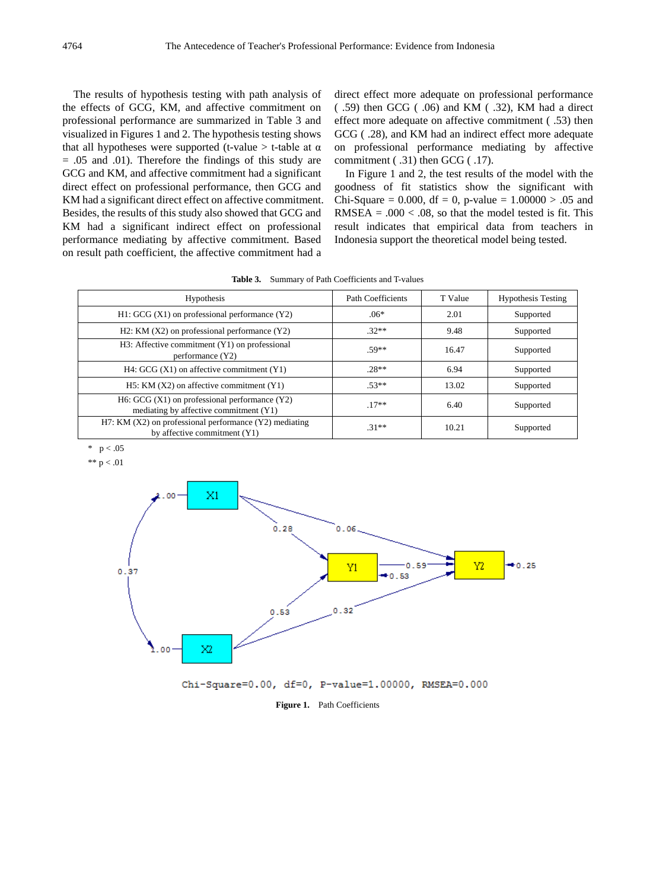The results of hypothesis testing with path analysis of the effects of GCG, KM, and affective commitment on professional performance are summarized in Table 3 and visualized in Figures 1 and 2. The hypothesis testing shows that all hypotheses were supported (t-value  $>$  t-table at  $\alpha$  $= .05$  and  $.01$ ). Therefore the findings of this study are GCG and KM, and affective commitment had a significant direct effect on professional performance, then GCG and KM had a significant direct effect on affective commitment. Besides, the results of this study also showed that GCG and KM had a significant indirect effect on professional performance mediating by affective commitment. Based on result path coefficient, the affective commitment had a

direct effect more adequate on professional performance ( .59) then GCG ( .06) and KM ( .32), KM had a direct effect more adequate on affective commitment ( .53) then GCG ( .28), and KM had an indirect effect more adequate on professional performance mediating by affective commitment ( .31) then GCG ( .17).

In Figure 1 and 2, the test results of the model with the goodness of fit statistics show the significant with Chi-Square = 0.000, df = 0, p-value =  $1.00000 > .05$  and RMSEA =  $.000 < .08$ , so that the model tested is fit. This result indicates that empirical data from teachers in Indonesia support the theoretical model being tested.

| Table 3.<br>Summary of Path Coefficients and T-values |
|-------------------------------------------------------|
|-------------------------------------------------------|

| Hypothesis                                                                                  | Path Coefficients | T Value | <b>Hypothesis Testing</b> |
|---------------------------------------------------------------------------------------------|-------------------|---------|---------------------------|
| $H1: GCG(X1)$ on professional performance $(Y2)$                                            | $.06*$            | 2.01    | Supported                 |
| H2: KM $(X2)$ on professional performance $(Y2)$                                            | $.32**$           | 9.48    | Supported                 |
| H3: Affective commitment (Y1) on professional<br>performance (Y2)                           | $.59**$           | 16.47   | Supported                 |
| H4: GCG $(X1)$ on affective commitment $(Y1)$                                               | $28**$            | 6.94    | Supported                 |
| $H5$ : KM (X2) on affective commitment (Y1)                                                 | $.53**$           | 13.02   | Supported                 |
| H6: GCG $(X1)$ on professional performance $(Y2)$<br>mediating by affective commitment (Y1) | $.17**$           | 6.40    | Supported                 |
| H7: KM (X2) on professional performance (Y2) mediating<br>by affective commitment $(Y1)$    | $31**$            | 10.21   | Supported                 |

 $p < .05$ 

\*\*  $p < .01$ 



Chi-Square=0.00, df=0, P-value=1.00000, RMSEA=0.000

Figure 1. Path Coefficients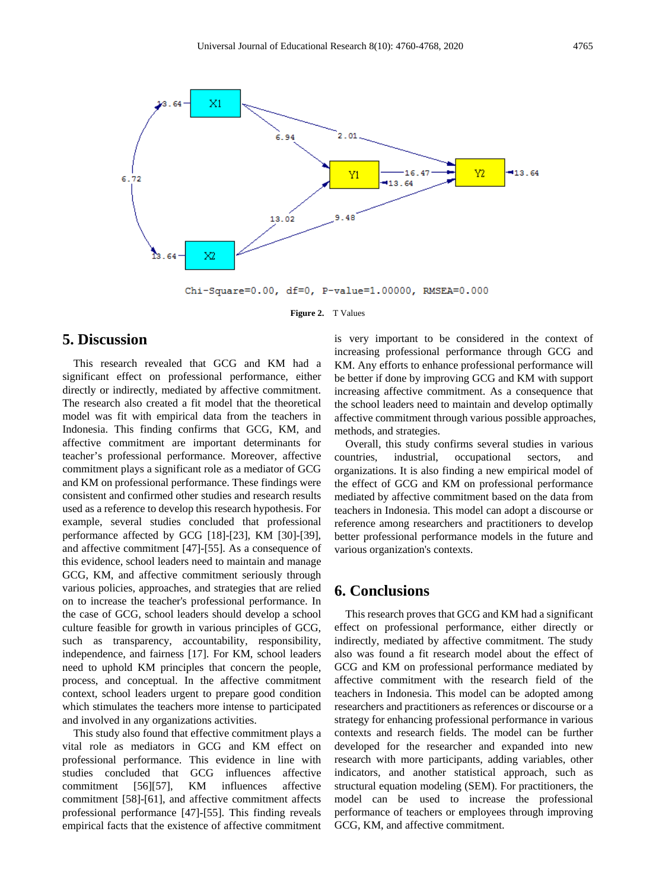

Chi-Square=0.00, df=0, P-value=1.00000, RMSEA=0.000

**Figure 2.** T Values

# **5. Discussion**

This research revealed that GCG and KM had a significant effect on professional performance, either directly or indirectly, mediated by affective commitment. The research also created a fit model that the theoretical model was fit with empirical data from the teachers in Indonesia. This finding confirms that GCG, KM, and affective commitment are important determinants for teacher's professional performance. Moreover, affective commitment plays a significant role as a mediator of GCG and KM on professional performance. These findings were consistent and confirmed other studies and research results used as a reference to develop this research hypothesis. For example, several studies concluded that professional performance affected by GCG [18]-[23], KM [30]-[39], and affective commitment [47]-[55]. As a consequence of this evidence, school leaders need to maintain and manage GCG, KM, and affective commitment seriously through various policies, approaches, and strategies that are relied on to increase the teacher's professional performance. In the case of GCG, school leaders should develop a school culture feasible for growth in various principles of GCG, such as transparency, accountability, responsibility, independence, and fairness [17]. For KM, school leaders need to uphold KM principles that concern the people, process, and conceptual. In the affective commitment context, school leaders urgent to prepare good condition which stimulates the teachers more intense to participated and involved in any organizations activities.

This study also found that effective commitment plays a vital role as mediators in GCG and KM effect on professional performance. This evidence in line with studies concluded that GCG influences affective commitment [56][57], KM influences affective commitment [58]-[61], and affective commitment affects professional performance [47]-[55]. This finding reveals empirical facts that the existence of affective commitment

is very important to be considered in the context of increasing professional performance through GCG and KM. Any efforts to enhance professional performance will be better if done by improving GCG and KM with support increasing affective commitment. As a consequence that the school leaders need to maintain and develop optimally affective commitment through various possible approaches, methods, and strategies.

Overall, this study confirms several studies in various countries, industrial, occupational sectors, and organizations. It is also finding a new empirical model of the effect of GCG and KM on professional performance mediated by affective commitment based on the data from teachers in Indonesia. This model can adopt a discourse or reference among researchers and practitioners to develop better professional performance models in the future and various organization's contexts.

# **6. Conclusions**

This research proves that GCG and KM had a significant effect on professional performance, either directly or indirectly, mediated by affective commitment. The study also was found a fit research model about the effect of GCG and KM on professional performance mediated by affective commitment with the research field of the teachers in Indonesia. This model can be adopted among researchers and practitioners as references or discourse or a strategy for enhancing professional performance in various contexts and research fields. The model can be further developed for the researcher and expanded into new research with more participants, adding variables, other indicators, and another statistical approach, such as structural equation modeling (SEM). For practitioners, the model can be used to increase the professional performance of teachers or employees through improving GCG, KM, and affective commitment.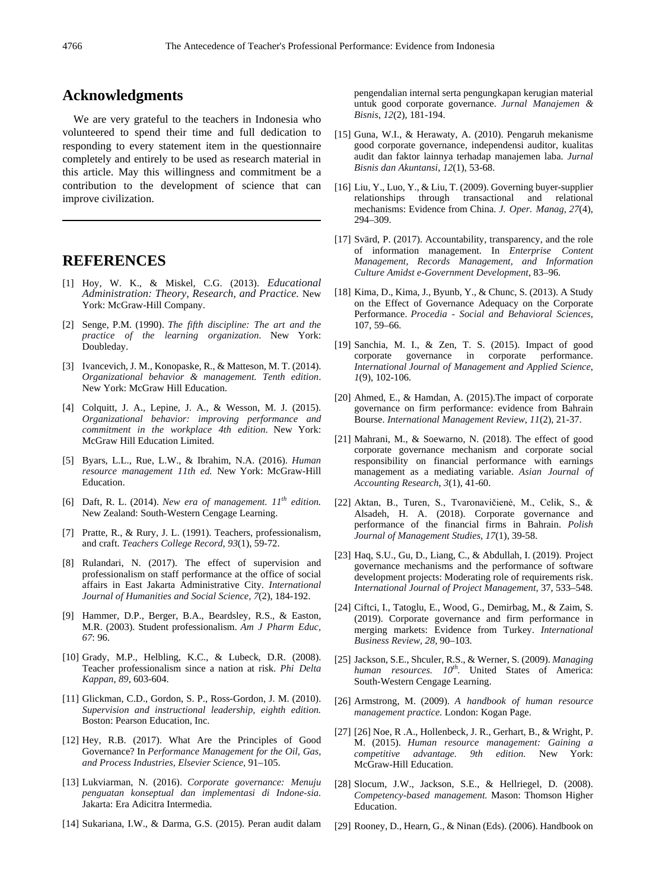# **Acknowledgments**

We are very grateful to the teachers in Indonesia who volunteered to spend their time and full dedication to responding to every statement item in the questionnaire completely and entirely to be used as research material in this article. May this willingness and commitment be a contribution to the development of science that can improve civilization.

# **REFERENCES**

- [1] Hoy, W. K., & Miskel, C.G. (2013). *Educational Administration: Theory, Research, and Practice.* New York: McGraw-Hill Company.
- [2] Senge, P.M. (1990). *The fifth discipline: The art and the practice of the learning organization*. New York: Doubleday.
- [3] Ivancevich, J. M., Konopaske, R., & Matteson, M. T. (2014). *Organizational behavior & management. Tenth edition*. New York: McGraw Hill Education.
- [4] Colquitt, J. A., Lepine, J. A., & Wesson, M. J. (2015). *Organizational behavior: improving performance and commitment in the workplace 4th edition*. New York: McGraw Hill Education Limited.
- [5] Byars, L.L., Rue, L.W., & Ibrahim, N.A. (2016). *Human resource management 11th ed.* New York: McGraw-Hill Education.
- [6] Daft, R. L. (2014). *New era of management. 11th edition.* New Zealand: South-Western Cengage Learning.
- [7] Pratte, R., & Rury, J. L. (1991). Teachers, professionalism, and craft. *Teachers College Record*, *93*(1), 59-72.
- [8] Rulandari, N. (2017). The effect of supervision and professionalism on staff performance at the office of social affairs in East Jakarta Administrative City. *International Journal of Humanities and Social Science, 7*(2), 184-192.
- [9] Hammer, D.P., Berger, B.A., Beardsley, R.S., & Easton, M.R. (2003). Student professionalism. *Am J Pharm Educ, 67*: 96.
- [10] Grady, M.P., Helbling, K.C., & Lubeck, D.R. (2008). Teacher professionalism since a nation at risk. *Phi Delta Kappan*, *89*, 603-604.
- [11] Glickman, C.D., Gordon, S. P., Ross-Gordon, J. M. (2010). *Supervision and instructional leadership, eighth edition.* Boston: Pearson Education, Inc.
- [12] Hey, R.B. (2017). What Are the Principles of Good Governance? In *Performance Management for the Oil, Gas, and Process Industries, Elsevier Science,* 91–105.
- [13] Lukviarman, N. (2016). *Corporate governance: Menuju penguatan konseptual dan implementasi di Indone-sia.* Jakarta: Era Adicitra Intermedia.
- [14] Sukariana, I.W., & Darma, G.S. (2015). Peran audit dalam

pengendalian internal serta pengungkapan kerugian material untuk good corporate governance. *Jurnal Manajemen & Bisnis*, *12*(2), 181-194.

- [15] Guna, W.I., & Herawaty, A. (2010). Pengaruh mekanisme good corporate governance, independensi auditor, kualitas audit dan faktor lainnya terhadap manajemen laba. *Jurnal Bisnis dan Akuntansi*, *12*(1), 53-68.
- [16] Liu, Y., Luo, Y., & Liu, T. (2009). Governing buyer-supplier relationships through transactional and relational mechanisms: Evidence from China. *J. Oper. Manag, 27*(4), 294–309.
- [17] Svärd, P. (2017). Accountability, transparency, and the role of information management. In *Enterprise Content Management, Records Management, and Information Culture Amidst e-Government Development*, 83–96.
- [18] Kima, D., Kima, J., Byunb, Y., & Chunc, S. (2013). A Study on the Effect of Governance Adequacy on the Corporate Performance. *Procedia - Social and Behavioral Sciences*, 107, 59–66.
- [19] Sanchia, M. I., & Zen, T. S. (2015). Impact of good corporate governance in corporate performance. *International Journal of Management and Applied Science*, *1*(9), 102-106.
- [20] Ahmed, E., & Hamdan, A. (2015). The impact of corporate governance on firm performance: evidence from Bahrain Bourse. *International Management Review*, *11*(2), 21-37.
- [21] Mahrani, M., & Soewarno, N. (2018). The effect of good corporate governance mechanism and corporate social responsibility on financial performance with earnings management as a mediating variable. *Asian Journal of Accounting Research*, *3*(1), 41-60.
- [22] Aktan, B., Turen, S., Tvaronavičienė, M., Celik, S., & Alsadeh, H. A. (2018). Corporate governance and performance of the financial firms in Bahrain. *Polish Journal of Management Studies, 17*(1), 39-58.
- [23] Haq, S.U., Gu, D., Liang, C., & Abdullah, I. (2019). Project governance mechanisms and the performance of software development projects: Moderating role of requirements risk. *International Journal of Project Management,* 37, 533–548.
- [24] Ciftci, I., Tatoglu, E., Wood, G., Demirbag, M., & Zaim, S. (2019). Corporate governance and firm performance in merging markets: Evidence from Turkey. *International Business Review, 28,* 90–103.
- [25] Jackson, S.E., Shculer, R.S., & Werner, S. (2009). *Managing*  human resources.  $10^{th}$ . United States of America: South-Western Cengage Learning.
- [26] Armstrong, M. (2009). *A handbook of human resource management practice.* London: Kogan Page.
- [27] [26] Noe, R.A., Hollenbeck, J.R., Gerhart, B., & Wright, P. M. (2015). *Human resource management: Gaining a competitive advantage. 9th edition.* New York: McGraw-Hill Education.
- [28] Slocum, J.W., Jackson, S.E., & Hellriegel, D. (2008). *Competency-based management.* Mason: Thomson Higher Education.
- [29] Rooney, D., Hearn, G., & Ninan (Eds). (2006). Handbook on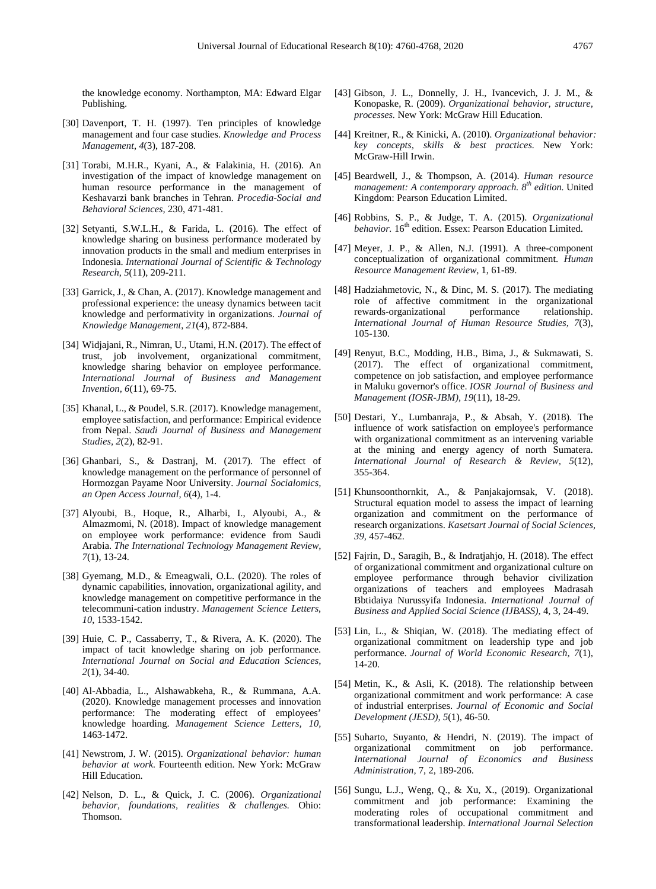the knowledge economy. Northampton, MA: Edward Elgar Publishing.

- [30] Davenport, T. H. (1997). Ten principles of knowledge management and four case studies. *Knowledge and Process Management*, *4*(3), 187-208.
- [31] Torabi, M.H.R., Kyani, A., & Falakinia, H. (2016). An investigation of the impact of knowledge management on human resource performance in the management of Keshavarzi bank branches in Tehran. *Procedia-Social and Behavioral Sciences,* 230, 471-481.
- [32] Setyanti, S.W.L.H., & Farida, L. (2016). The effect of knowledge sharing on business performance moderated by innovation products in the small and medium enterprises in Indonesia. *International Journal of Scientific & Technology Research*, *5*(11), 209-211.
- [33] Garrick, J., & Chan, A. (2017). Knowledge management and professional experience: the uneasy dynamics between tacit knowledge and performativity in organizations. *Journal of Knowledge Management*, *21*(4), 872-884.
- [34] Widjajani, R., Nimran, U., Utami, H.N. (2017). The effect of trust, job involvement, organizational commitment, knowledge sharing behavior on employee performance. *International Journal of Business and Management Invention, 6*(11), 69-75.
- [35] Khanal, L., & Poudel, S.R. (2017). Knowledge management, employee satisfaction, and performance: Empirical evidence from Nepal. *Saudi Journal of Business and Management Studies, 2*(2), 82-91.
- [36] Ghanbari, S., & Dastranj, M. (2017). The effect of knowledge management on the performance of personnel of Hormozgan Payame Noor University. *Journal Socialomics, an Open Access Journal, 6*(4), 1-4.
- [37] Alyoubi, B., Hoque, R., Alharbi, I., Alyoubi, A., & Almazmomi, N. (2018). Impact of knowledge management on employee work performance: evidence from Saudi Arabia. *The International Technology Management Review, 7*(1), 13-24.
- [38] Gyemang, M.D., & Emeagwali, O.L. (2020). The roles of dynamic capabilities, innovation, organizational agility, and knowledge management on competitive performance in the telecommuni-cation industry. *Management Science Letters*, *10*, 1533-1542.
- [39] Huie, C. P., Cassaberry, T., & Rivera, A. K. (2020). The impact of tacit knowledge sharing on job performance. *International Journal on Social and Education Sciences, 2*(1), 34-40.
- [40] Al-Abbadia, L., Alshawabkeha, R., & Rummana, A.A. (2020). Knowledge management processes and innovation performance: The moderating effect of employees' knowledge hoarding. *Management Science Letters, 10,* 1463-1472.
- [41] Newstrom, J. W. (2015). *Organizational behavior: human behavior at work.* Fourteenth edition. New York: McGraw Hill Education.
- [42] Nelson, D. L., & Quick, J. C. (2006). *Organizational behavior, foundations, realities & challenges.* Ohio: Thomson.
- [43] Gibson, J. L., Donnelly, J. H., Ivancevich, J. J. M., & Konopaske, R. (2009). *Organizational behavior, structure, processes.* New York: McGraw Hill Education.
- [44] Kreitner, R., & Kinicki, A. (2010). *Organizational behavior: key concepts, skills & best practices.* New York: McGraw-Hill Irwin.
- [45] Beardwell, J., & Thompson, A. (2014). *Human resource management: A contemporary approach. 8th edition.* United Kingdom: Pearson Education Limited.
- [46] Robbins, S. P., & Judge, T. A. (2015). *Organizational behavior.* 16<sup>th</sup> edition. Essex: Pearson Education Limited.
- [47] Meyer, J. P., & Allen, N.J. (1991). A three-component conceptualization of organizational commitment. *Human Resource Management Review*, 1, 61-89.
- [48] Hadziahmetovic, N., & Dinc, M. S. (2017). The mediating role of affective commitment in the organizational<br>rewards-organizational performance relationship. rewards-organizational *International Journal of Human Resource Studies, 7*(3), 105-130.
- [49] Renyut, B.C., Modding, H.B., Bima, J., & Sukmawati, S. (2017). The effect of organizational commitment, competence on job satisfaction, and employee performance in Maluku governor's office. *IOSR Journal of Business and Management (IOSR-JBM), 19*(11), 18-29.
- [50] Destari, Y., Lumbanraja, P., & Absah, Y. (2018). The influence of work satisfaction on employee's performance with organizational commitment as an intervening variable at the mining and energy agency of north Sumatera. *International Journal of Research & Review, 5*(12), 355-364.
- [51] Khunsoonthornkit, A., & Panjakajornsak, V. (2018). Structural equation model to assess the impact of learning organization and commitment on the performance of research organizations. *Kasetsart Journal of Social Sciences, 39,* 457-462.
- [52] Fajrin, D., Saragih, B., & Indratjahjo, H. (2018). The effect of organizational commitment and organizational culture on employee performance through behavior civilization organizations of teachers and employees Madrasah Bbtidaiya Nurussyifa Indonesia. *International Journal of Business and Applied Social Science (IJBASS),* 4, 3, 24-49.
- [53] Lin, L., & Shiqian, W. (2018). The mediating effect of organizational commitment on leadership type and job performance. *Journal of World Economic Research, 7*(1), 14-20.
- [54] Metin, K., & Asli, K. (2018). The relationship between organizational commitment and work performance: A case of industrial enterprises. *Journal of Economic and Social Development (JESD), 5*(1), 46-50.
- [55] Suharto, Suyanto, & Hendri, N. (2019). The impact of organizational commitment on job performance. *International Journal of Economics and Business Administration,* 7, 2, 189-206.
- [56] Sungu, L.J., Weng, Q., & Xu, X., (2019). Organizational commitment and job performance: Examining the moderating roles of occupational commitment and transformational leadership. *International Journal Selection*